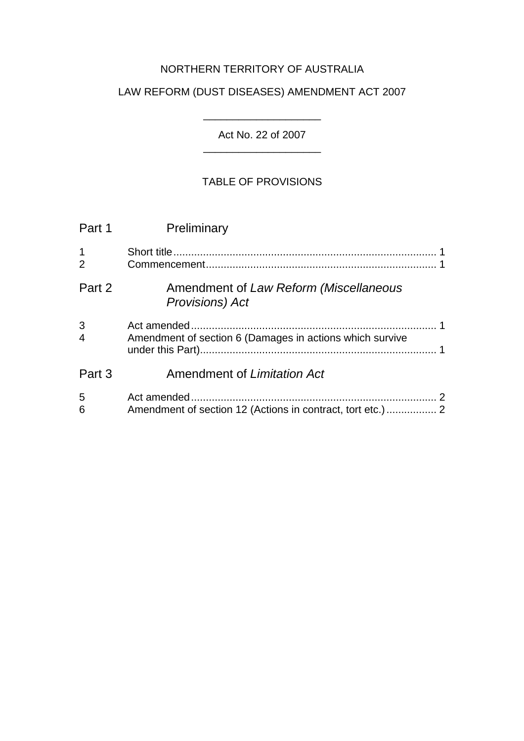# NORTHERN TERRITORY OF AUSTRALIA

# LAW REFORM (DUST DISEASES) AMENDMENT ACT 2007

Act No. 22 of 2007 \_\_\_\_\_\_\_\_\_\_\_\_\_\_\_\_\_\_\_\_

\_\_\_\_\_\_\_\_\_\_\_\_\_\_\_\_\_\_\_\_

## TABLE OF PROVISIONS

| Part 1                        | Preliminary                                                       |
|-------------------------------|-------------------------------------------------------------------|
| $\mathbf 1$<br>$\overline{2}$ |                                                                   |
| Part 2                        | Amendment of Law Reform (Miscellaneous<br><b>Provisions</b> ) Act |
| 3<br>$\overline{4}$           | Amendment of section 6 (Damages in actions which survive          |
| Part 3                        | Amendment of Limitation Act                                       |
| 5<br>6                        | Amendment of section 12 (Actions in contract, tort etc.)  2       |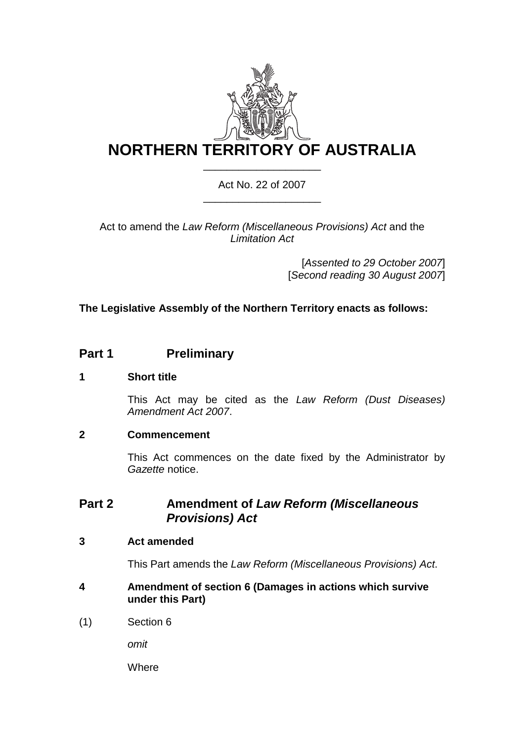

## Act No. 22 of 2007 \_\_\_\_\_\_\_\_\_\_\_\_\_\_\_\_\_\_\_\_

Act to amend the *Law Reform (Miscellaneous Provisions) Act* and the *Limitation Act* 

> [*Assented to 29 October 2007*] [*Second reading 30 August 2007*]

## **The Legislative Assembly of the Northern Territory enacts as follows:**

# **Part 1** Preliminary

## **1 Short title**

This Act may be cited as the *Law Reform (Dust Diseases) Amendment Act 2007*.

### **2 Commencement**

This Act commences on the date fixed by the Administrator by *Gazette* notice.

## **Part 2 Amendment of** *Law Reform (Miscellaneous Provisions) Act*

### **3 Act amended**

This Part amends the *Law Reform (Miscellaneous Provisions) Act*.

- **4 Amendment of section 6 (Damages in actions which survive under this Part)**
- (1) Section 6

*omit* 

**Where**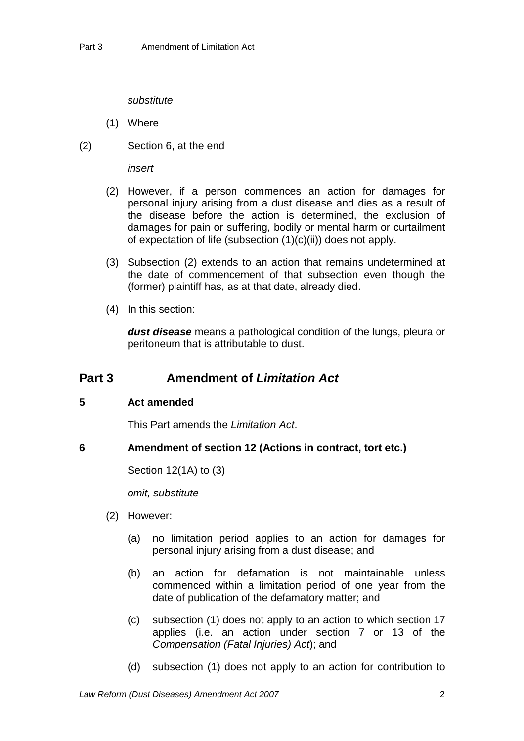*substitute* 

- (1) Where
- (2) Section 6, at the end

*insert* 

- (2) However, if a person commences an action for damages for personal injury arising from a dust disease and dies as a result of the disease before the action is determined, the exclusion of damages for pain or suffering, bodily or mental harm or curtailment of expectation of life (subsection (1)(c)(ii)) does not apply.
- (3) Subsection (2) extends to an action that remains undetermined at the date of commencement of that subsection even though the (former) plaintiff has, as at that date, already died.
- (4) In this section:

*dust disease* means a pathological condition of the lungs, pleura or peritoneum that is attributable to dust.

# **Part 3 Amendment of** *Limitation Act*

### **5 Act amended**

This Part amends the *Limitation Act*.

**6 Amendment of section 12 (Actions in contract, tort etc.)** 

Section 12(1A) to (3)

*omit, substitute* 

- (2) However:
	- (a) no limitation period applies to an action for damages for personal injury arising from a dust disease; and
	- (b) an action for defamation is not maintainable unless commenced within a limitation period of one year from the date of publication of the defamatory matter; and
	- (c) subsection (1) does not apply to an action to which section 17 applies (i.e. an action under section 7 or 13 of the *Compensation (Fatal Injuries) Act*); and
	- (d) subsection (1) does not apply to an action for contribution to